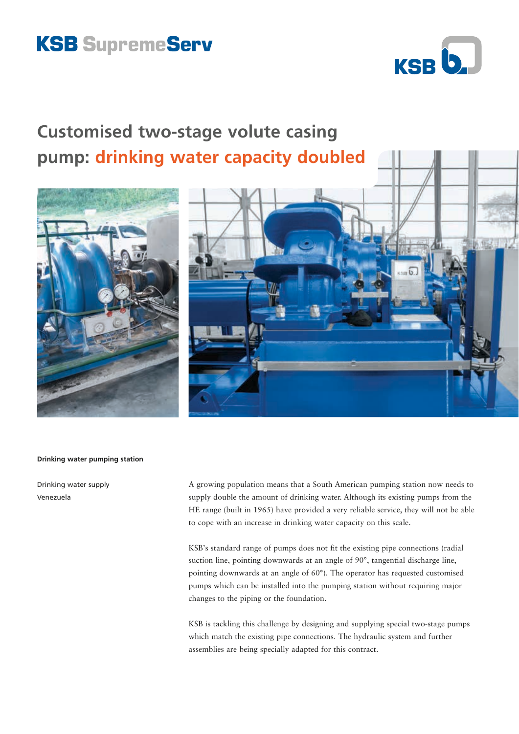## **KSB SupremeServ**



## **Customised two-stage volute casing pump: drinking water capacity doubled**





## **Drinking water pumping station**

Drinking water supply Venezuela

A growing population means that a South American pumping station now needs to supply double the amount of drinking water. Although its existing pumps from the HE range (built in 1965) have provided a very reliable service, they will not be able to cope with an increase in drinking water capacity on this scale.

KSB's standard range of pumps does not fit the existing pipe connections (radial suction line, pointing downwards at an angle of 90°, tangential discharge line, pointing downwards at an angle of 60°). The operator has requested customised pumps which can be installed into the pumping station without requiring major changes to the piping or the foundation.

KSB is tackling this challenge by designing and supplying special two-stage pumps which match the existing pipe connections. The hydraulic system and further assemblies are being specially adapted for this contract.